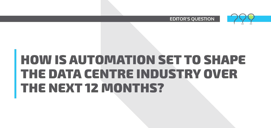

**EDITOR'S QUESTION** 

## **HOW IS AUTOMATION SET TO SHAPE THE DATA CENTRE INDUSTRY OVER THE NEXT 12 MONTHS?**